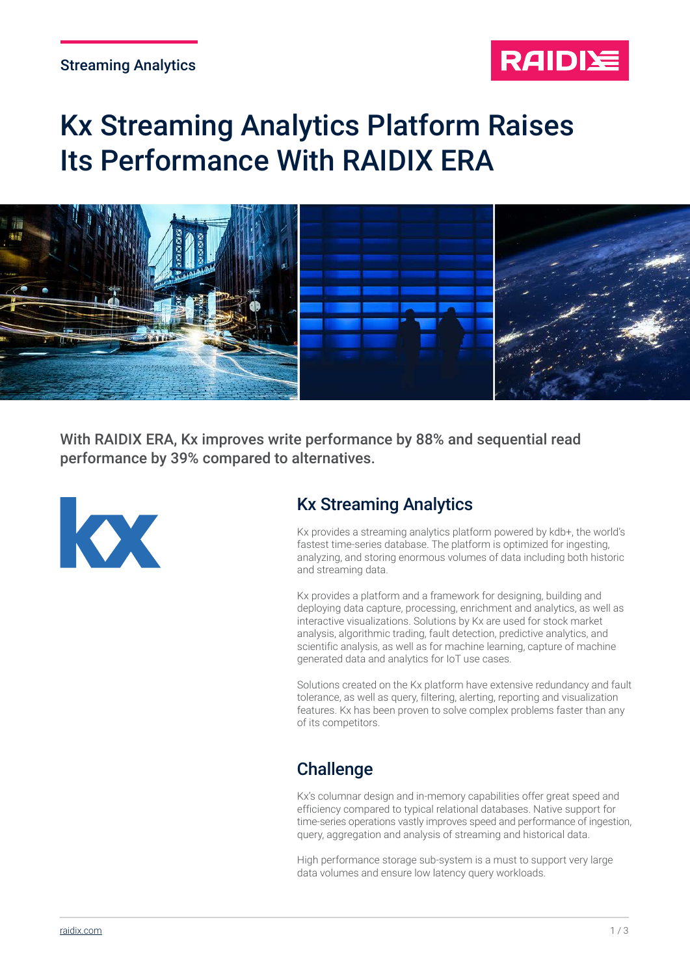#### Streaming Analytics



# Kx Streaming Analytics Platform Raises Its Performance With RAIDIX ERA



With RAIDIX ERA, Kx improves write performance by 88% and sequential read performance by 39% compared to alternatives.



## Kx Streaming Analytics

Kx provides a streaming analytics platform powered by kdb+, the world's fastest time-series database. The platform is optimized for ingesting, analyzing, and storing enormous volumes of data including both historic and streaming data.

Kx provides a platform and a framework for designing, building and deploying data capture, processing, enrichment and analytics, as well as interactive visualizations. Solutions by Kx are used for stock market analysis, algorithmic trading, fault detection, predictive analytics, and scientific analysis, as well as for machine learning, capture of machine generated data and analytics for IoT use cases.

Solutions created on the Kx platform have extensive redundancy and fault tolerance, as well as query, filtering, alerting, reporting and visualization features. Kx has been proven to solve complex problems faster than any of its competitors.

## **Challenge**

Kx's columnar design and in-memory capabilities offer great speed and efficiency compared to typical relational databases. Native support for time-series operations vastly improves speed and performance of ingestion, query, aggregation and analysis of streaming and historical data.

High performance storage sub-system is a must to support very large data volumes and ensure low latency query workloads.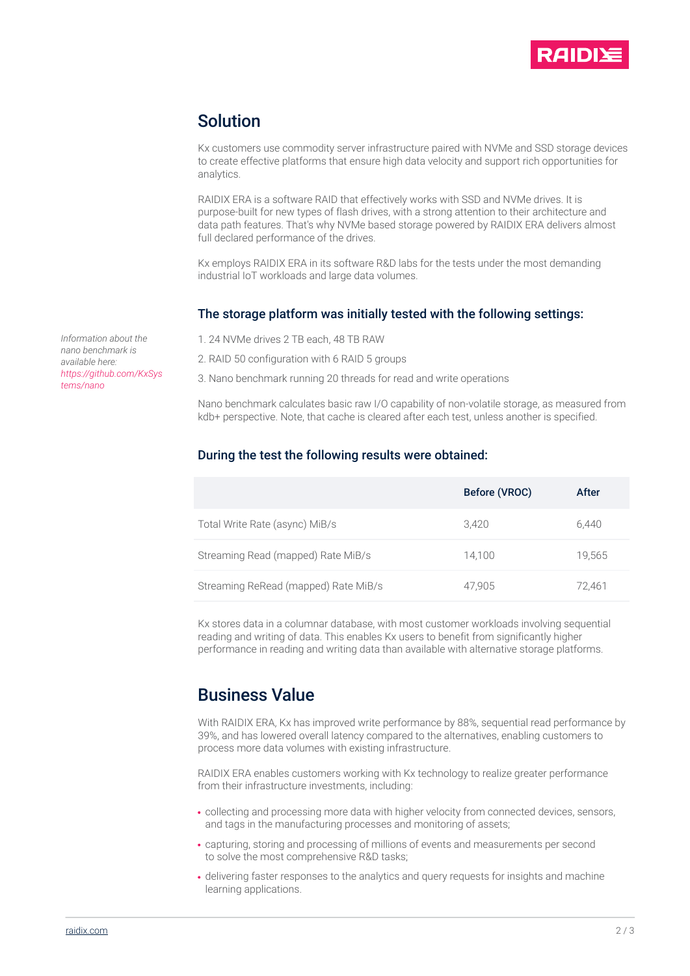

#### Solution

Kx customers use commodity server infrastructure paired with NVMe and SSD storage devices to create effective platforms that ensure high data velocity and support rich opportunities for analytics.

RAIDIX ERA is a software RAID that effectively works with SSD and NVMe drives. It is purpose-built for new types of flash drives, with a strong attention to their architecture and data path features. That's why NVMe based storage powered by RAIDIX ERA delivers almost full declared performance of the drives.

Kx employs RAIDIX ERA in its software R&D labs for the tests under the most demanding industrial IoT workloads and large data volumes.

#### The storage platform was initially tested with the following settings:

*Information about the nano benchmark is available here: [https://github.com/KxSys](https://github.com/KxSystems/nano) tems/nano*

1. 24 NVMe drives 2 TB each, 48 TB RAW

2. RAID 50 configuration with 6 RAID 5 groups

3. Nano benchmark running 20 threads for read and write operations

Nano benchmark calculates basic raw I/O capability of non-volatile storage, as measured from kdb+ perspective. Note, that cache is cleared after each test, unless another is specified.

#### During the test the following results were obtained:

|                                      | Before (VROC) | After  |
|--------------------------------------|---------------|--------|
| Total Write Rate (async) MiB/s       | 3.420         | 6.440  |
| Streaming Read (mapped) Rate MiB/s   | 14.100        | 19.565 |
| Streaming ReRead (mapped) Rate MiB/s | 47.905        | 72.461 |

Kx stores data in a columnar database, with most customer workloads involving sequential reading and writing of data. This enables Kx users to benefit from significantly higher performance in reading and writing data than available with alternative storage platforms.

## Business Value

With RAIDIX ERA, Kx has improved write performance by 88%, sequential read performance by 39%, and has lowered overall latency compared to the alternatives, enabling customers to process more data volumes with existing infrastructure.

RAIDIX ERA enables customers working with Kx technology to realize greater performance from their infrastructure investments, including:

- collecting and processing more data with higher velocity from connected devices, sensors, and tags in the manufacturing processes and monitoring of assets;
- capturing, storing and processing of millions of events and measurements per second to solve the most comprehensive R&D tasks;
- delivering faster responses to the analytics and query requests for insights and machine learning applications.